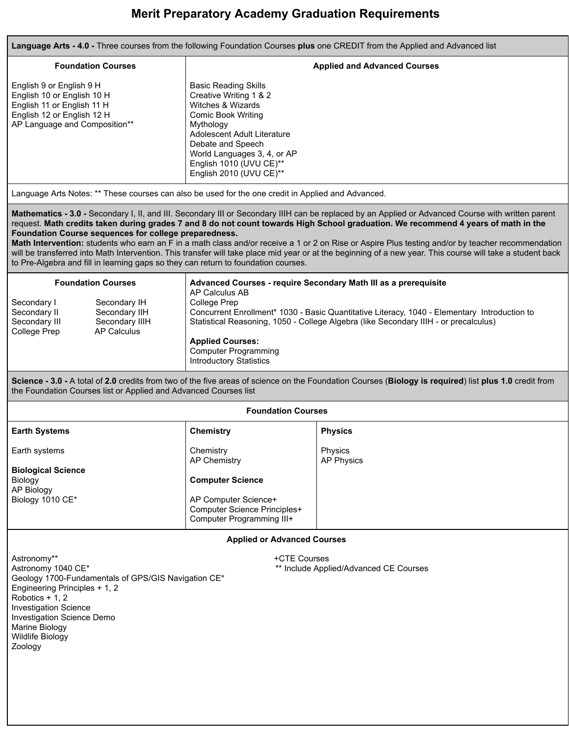# **Merit Preparatory Academy Graduation Requirements**

**Language Arts - 4.0 -** Three courses from the following Foundation Courses **plus** one CREDIT from the Applied and Advanced list

| <b>Foundation Courses</b>                                                                                                                           | <b>Applied and Advanced Courses</b>                                                                                                                                                                                                                    |
|-----------------------------------------------------------------------------------------------------------------------------------------------------|--------------------------------------------------------------------------------------------------------------------------------------------------------------------------------------------------------------------------------------------------------|
| English 9 or English 9 H<br>English 10 or English 10 H<br>English 11 or English 11 H<br>English 12 or English 12 H<br>AP Language and Composition** | <b>Basic Reading Skills</b><br>Creative Writing 1 & 2<br>Witches & Wizards<br>Comic Book Writing<br>Mythology<br>Adolescent Adult Literature<br>Debate and Speech<br>World Languages 3, 4, or AP<br>English 1010 (UVU CE)**<br>English 2010 (UVU CE)** |
|                                                                                                                                                     | Language Arts Notes: ** These courses can also be used for the one credit in Applied and Advanced.                                                                                                                                                     |
|                                                                                                                                                     |                                                                                                                                                                                                                                                        |

**Mathematics - 3.0 -** Secondary I, II, and III. Secondary III or Secondary IIIH can be replaced by an Applied or Advanced Course with written parent request. **Math credits taken during grades 7 and 8 do not count towards High School graduation. We recommend 4 years of math in the Foundation Course sequences for college preparedness.** 

**Math Intervention:** students who earn an F in a math class and/or receive a 1 or 2 on Rise or Aspire Plus testing and/or by teacher recommendation will be transferred into Math Intervention. This transfer will take place mid year or at the beginning of a new year. This course will take a student back to Pre-Algebra and fill in learning gaps so they can return to foundation courses.

| <b>Foundation Courses</b> |                | Advanced Courses - require Secondary Math III as a prerequisite<br>AP Calculus AB            |
|---------------------------|----------------|----------------------------------------------------------------------------------------------|
| Secondary I               | Secondary IH   | College Prep                                                                                 |
| Secondary II              | Secondary IIH  | Concurrent Enrollment* 1030 - Basic Quantitative Literacy, 1040 - Elementary Introduction to |
| Secondary III             | Secondary IIIH | Statistical Reasoning, 1050 - College Algebra (like Secondary IIIH - or precalculus)         |
| College Prep              | AP Calculus    |                                                                                              |
|                           |                | <b>Applied Courses:</b>                                                                      |
|                           |                | <b>Computer Programming</b>                                                                  |
|                           |                | <b>Introductory Statistics</b>                                                               |

**Science - 3.0 -** A total of **2.0** credits from two of the five areas of science on the Foundation Courses ( **Biology is required** ) list **plus 1.0** credit from the Foundation Courses list or Applied and Advanced Courses list

| <b>Foundation Courses</b>                          |                                                                                   |                              |  |  |
|----------------------------------------------------|-----------------------------------------------------------------------------------|------------------------------|--|--|
| <b>Earth Systems</b>                               | Chemistry                                                                         | <b>Physics</b>               |  |  |
| Earth systems                                      | Chemistry<br>AP Chemistry                                                         | Physics<br><b>AP Physics</b> |  |  |
| <b>Biological Science</b><br>Biology<br>AP Biology | <b>Computer Science</b>                                                           |                              |  |  |
| Biology 1010 CE*                                   | AP Computer Science+<br>Computer Science Principles+<br>Computer Programming III+ |                              |  |  |

**Applied or Advanced Courses** 

Astronomy\*\* +CTE Courses Geology 1700-Fundamentals of GPS/GIS Navigation CE\* Engineering Principles + 1, 2 Robotics + 1, 2 Investigation Science Investigation Science Demo Marine Biology Wildlife Biology Zoology

\*\* Include Applied/Advanced CE Courses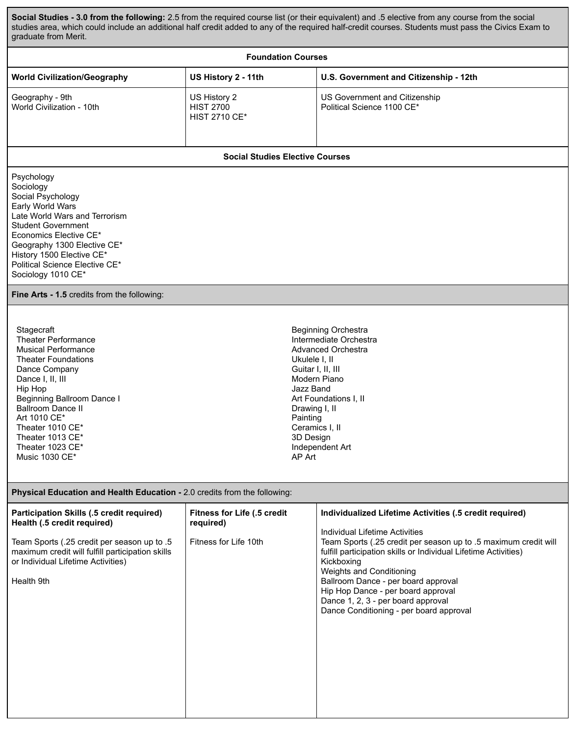**Social Studies - 3.0 from the following:** 2.5 from the required course list (or their equivalent) and .5 elective from any course from the social studies area, which could include an additional half credit added to any of the required half-credit courses. Students must pass the Civics Exam to graduate from Merit.

| <b>Foundation Courses</b>                                                                                                                                                                                                                                                                                           |                                                                          |                                                                                                                                                                                                                                                                                                                                                                                                                                         |  |  |  |
|---------------------------------------------------------------------------------------------------------------------------------------------------------------------------------------------------------------------------------------------------------------------------------------------------------------------|--------------------------------------------------------------------------|-----------------------------------------------------------------------------------------------------------------------------------------------------------------------------------------------------------------------------------------------------------------------------------------------------------------------------------------------------------------------------------------------------------------------------------------|--|--|--|
| <b>World Civilization/Geography</b>                                                                                                                                                                                                                                                                                 | US History 2 - 11th                                                      | U.S. Government and Citizenship - 12th                                                                                                                                                                                                                                                                                                                                                                                                  |  |  |  |
| Geography - 9th<br>World Civilization - 10th                                                                                                                                                                                                                                                                        | US History 2<br><b>HIST 2700</b><br><b>HIST 2710 CE*</b>                 | US Government and Citizenship<br>Political Science 1100 CE*                                                                                                                                                                                                                                                                                                                                                                             |  |  |  |
|                                                                                                                                                                                                                                                                                                                     | <b>Social Studies Elective Courses</b>                                   |                                                                                                                                                                                                                                                                                                                                                                                                                                         |  |  |  |
| Psychology<br>Sociology<br>Social Psychology<br>Early World Wars<br>Late World Wars and Terrorism<br><b>Student Government</b><br>Economics Elective CE*<br>Geography 1300 Elective CE*<br>History 1500 Elective CE*<br>Political Science Elective CE*<br>Sociology 1010 CE*                                        |                                                                          |                                                                                                                                                                                                                                                                                                                                                                                                                                         |  |  |  |
| Fine Arts - 1.5 credits from the following:                                                                                                                                                                                                                                                                         |                                                                          |                                                                                                                                                                                                                                                                                                                                                                                                                                         |  |  |  |
| Stagecraft<br><b>Theater Performance</b><br><b>Musical Performance</b><br><b>Theater Foundations</b><br>Dance Company<br>Dance I, II, III<br>Hip Hop<br><b>Beginning Ballroom Dance I</b><br><b>Ballroom Dance II</b><br>Art 1010 CE*<br>Theater 1010 CE*<br>Theater 1013 CE*<br>Theater 1023 CE*<br>Music 1030 CE* | Ukulele I, II<br>Jazz Band<br>Painting<br>3D Design<br>AP Art            | <b>Beginning Orchestra</b><br>Intermediate Orchestra<br><b>Advanced Orchestra</b><br>Guitar I, II, III<br>Modern Piano<br>Art Foundations I, II<br>Drawing I, II<br>Ceramics I, II<br>Independent Art                                                                                                                                                                                                                                   |  |  |  |
| Physical Education and Health Education - 2.0 credits from the following:                                                                                                                                                                                                                                           |                                                                          |                                                                                                                                                                                                                                                                                                                                                                                                                                         |  |  |  |
| Participation Skills (.5 credit required)<br>Health (.5 credit required)<br>Team Sports (.25 credit per season up to .5<br>maximum credit will fulfill participation skills<br>or Individual Lifetime Activities)<br>Health 9th                                                                                     | <b>Fitness for Life (.5 credit</b><br>required)<br>Fitness for Life 10th | Individualized Lifetime Activities (.5 credit required)<br>Individual Lifetime Activities<br>Team Sports (.25 credit per season up to .5 maximum credit will<br>fulfill participation skills or Individual Lifetime Activities)<br>Kickboxing<br>Weights and Conditioning<br>Ballroom Dance - per board approval<br>Hip Hop Dance - per board approval<br>Dance 1, 2, 3 - per board approval<br>Dance Conditioning - per board approval |  |  |  |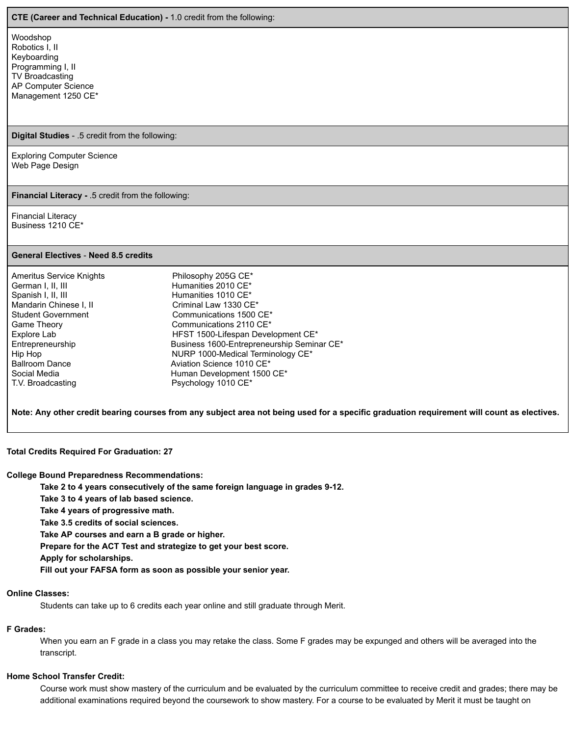#### **CTE (Career and Technical Education) -** 1.0 credit from the following:

Woodshop Robotics I, II Keyboarding Programming I, II TV Broadcasting AP Computer Science Management 1250 CE\*

#### **Digital Studies** - .5 credit from the following:

Exploring Computer Science Web Page Design

**Financial Literacy -** .5 credit from the following:

Financial Literacy Business 1210 CE\*

#### **General Electives** - **Need 8.5 credits**

| <b>Ameritus Service Knights</b> | Philosophy 205G CE*                        |
|---------------------------------|--------------------------------------------|
| German I, II, III               | Humanities 2010 CE*                        |
| Spanish I, II, III              | Humanities 1010 CE*                        |
| Mandarin Chinese I, II          | Criminal Law 1330 CE*                      |
| <b>Student Government</b>       | Communications 1500 CE*                    |
| Game Theory                     | Communications 2110 CE <sup>*</sup>        |
| Explore Lab                     | HFST 1500-Lifespan Development CE*         |
| Entrepreneurship                | Business 1600-Entrepreneurship Seminar CE* |
| Hip Hop                         | NURP 1000-Medical Terminology CE*          |
| <b>Ballroom Dance</b>           | Aviation Science 1010 CE*                  |
| Social Media                    | Human Development 1500 CE*                 |
| T.V. Broadcasting               | Psychology 1010 CE*                        |

**Note: Any other credit bearing courses from any subject area not being used for a specific graduation requirement will count as electives.** 

## **Total Credits Required For Graduation: 27**

**College Bound Preparedness Recommendations:** 

**Take 2 to 4 years consecutively of the same foreign language in grades 9-12.** 

**Take 3 to 4 years of lab based science.** 

**Take 4 years of progressive math.** 

**Take 3.5 credits of social sciences.** 

**Take AP courses and earn a B grade or higher.** 

**Prepare for the ACT Test and strategize to get your best score.** 

**Apply for scholarships.** 

**Fill out your FAFSA form as soon as possible your senior year.** 

## **Online Classes:**

Students can take up to 6 credits each year online and still graduate through Merit.

# **F Grades:**

When you earn an F grade in a class you may retake the class. Some F grades may be expunged and others will be averaged into the transcript.

## **Home School Transfer Credit:**

Course work must show mastery of the curriculum and be evaluated by the curriculum committee to receive credit and grades; there may be additional examinations required beyond the coursework to show mastery. For a course to be evaluated by Merit it must be taught on